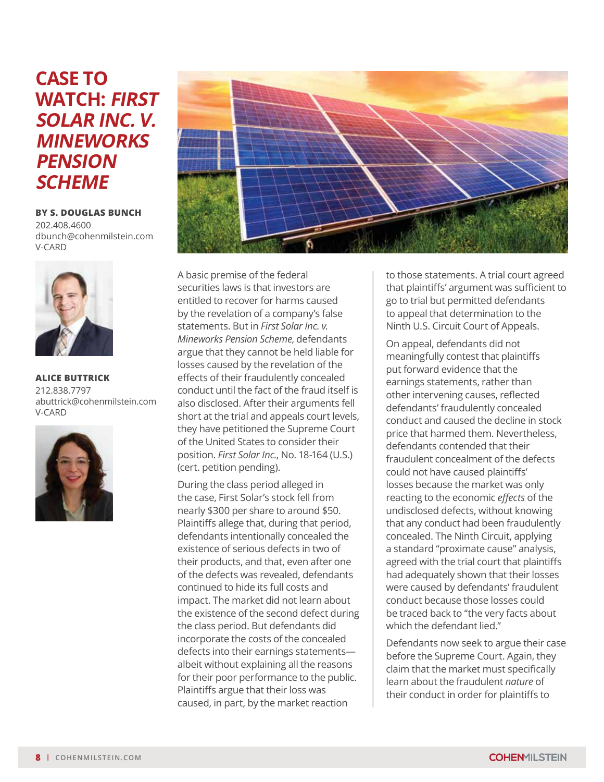## **CASE TO WATCH: FIRST SOLAR INC. V. MINEWORKS PENSION SCHEME**

**BY S. DOUGLAS BUNCH**  202.408.4600 dbunch[@cohenmilstein.com](mailto:dbunch%40cohenmilstein.com?subject=) [V-CARD](https://www.cohenmilstein.com/sites/default/files/professionals/vcard/S.%20Douglas%20Bunch-vcard.vcf)



**ALICE BUTTRICK**  212.838.7797 abuttrick[@cohenmilstein.com](mailto:abuttrick%40cohenmilstein.com?subject=) [V-CARD](https://www.cohenmilstein.com/sites/default/files/professionals/vcard/Alice%20Buttrick.vcf)





A basic premise of the federal securities laws is that investors are entitled to recover for harms caused by the revelation of a company's false statements. But in *First Solar Inc. v. Mineworks Pension Scheme*, defendants argue that they cannot be held liable for losses caused by the revelation of the effects of their fraudulently concealed conduct until the fact of the fraud itself is also disclosed. After their arguments fell short at the trial and appeals court levels, they have petitioned the Supreme Court of the United States to consider their position. *First Solar Inc.*, No. 18-164 (U.S.) (cert. petition pending).

During the class period alleged in the case, First Solar's stock fell from nearly \$300 per share to around \$50. Plaintiffs allege that, during that period, defendants intentionally concealed the existence of serious defects in two of their products, and that, even after one of the defects was revealed, defendants continued to hide its full costs and impact. The market did not learn about the existence of the second defect during the class period. But defendants did incorporate the costs of the concealed defects into their earnings statements albeit without explaining all the reasons for their poor performance to the public. Plaintiffs argue that their loss was caused, in part, by the market reaction

to those statements. A trial court agreed that plaintiffs' argument was sufficient to go to trial but permitted defendants to appeal that determination to the Ninth U.S. Circuit Court of Appeals.

On appeal, defendants did not meaningfully contest that plaintiffs put forward evidence that the earnings statements, rather than other intervening causes, reflected defendants' fraudulently concealed conduct and caused the decline in stock price that harmed them. Nevertheless, defendants contended that their fraudulent concealment of the defects could not have caused plaintiffs' losses because the market was only reacting to the economic *effects* of the undisclosed defects, without knowing that any conduct had been fraudulently concealed. The Ninth Circuit, applying a standard "proximate cause" analysis, agreed with the trial court that plaintiffs had adequately shown that their losses were caused by defendants' fraudulent conduct because those losses could be traced back to "the very facts about which the defendant lied."

Defendants now seek to argue their case before the Supreme Court. Again, they claim that the market must specifically learn about the fraudulent *nature* of their conduct in order for plaintiffs to